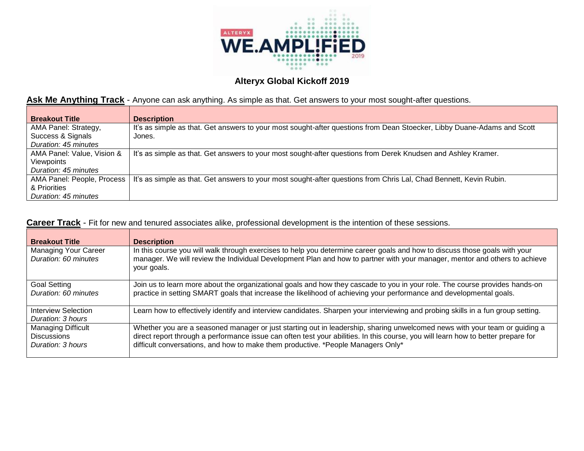

## Ask Me Anything Track - Anyone can ask anything. As simple as that. Get answers to your most sought-after questions.

| <b>Breakout Title</b>      | <b>Description</b>                                                                                                      |
|----------------------------|-------------------------------------------------------------------------------------------------------------------------|
| AMA Panel: Strategy,       | It's as simple as that. Get answers to your most sought-after questions from Dean Stoecker, Libby Duane-Adams and Scott |
| Success & Signals          | Jones.                                                                                                                  |
| Duration: 45 minutes       |                                                                                                                         |
| AMA Panel: Value, Vision & | It's as simple as that. Get answers to your most sought-after questions from Derek Knudsen and Ashley Kramer.           |
| Viewpoints                 |                                                                                                                         |
| Duration: 45 minutes       |                                                                                                                         |
| AMA Panel: People, Process | It's as simple as that. Get answers to your most sought-after questions from Chris Lal, Chad Bennett, Kevin Rubin.      |
| & Priorities               |                                                                                                                         |
| Duration: 45 minutes       |                                                                                                                         |

### **Career Track** - Fit for new and tenured associates alike, professional development is the intention of these sessions.

| <b>Breakout Title</b>                                         | <b>Description</b>                                                                                                                                                                                                                                                                                                                                  |
|---------------------------------------------------------------|-----------------------------------------------------------------------------------------------------------------------------------------------------------------------------------------------------------------------------------------------------------------------------------------------------------------------------------------------------|
| Managing Your Career<br>Duration: 60 minutes                  | In this course you will walk through exercises to help you determine career goals and how to discuss those goals with your<br>manager. We will review the Individual Development Plan and how to partner with your manager, mentor and others to achieve<br>your goals.                                                                             |
| <b>Goal Setting</b><br>Duration: 60 minutes                   | Join us to learn more about the organizational goals and how they cascade to you in your role. The course provides hands-on<br>practice in setting SMART goals that increase the likelihood of achieving your performance and developmental goals.                                                                                                  |
| <b>Interview Selection</b><br>Duration: 3 hours               | Learn how to effectively identify and interview candidates. Sharpen your interviewing and probing skills in a fun group setting.                                                                                                                                                                                                                    |
| Managing Difficult<br><b>Discussions</b><br>Duration: 3 hours | Whether you are a seasoned manager or just starting out in leadership, sharing unwelcomed news with your team or guiding a<br>direct report through a performance issue can often test your abilities. In this course, you will learn how to better prepare for<br>difficult conversations, and how to make them productive. *People Managers Only* |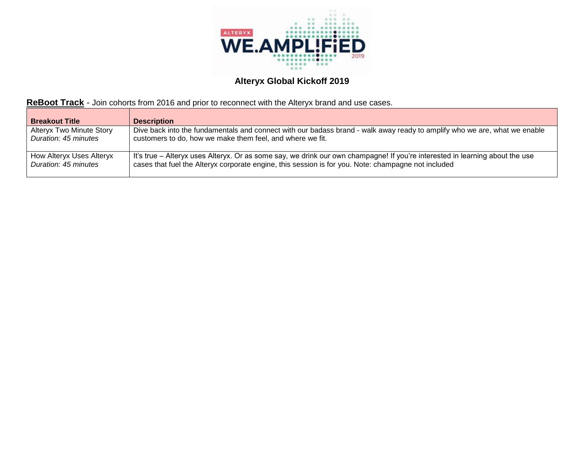

## **ReBoot Track** - Join cohorts from 2016 and prior to reconnect with the Alteryx brand and use cases.

| <b>Breakout Title</b>           | <b>Description</b>                                                                                                           |
|---------------------------------|------------------------------------------------------------------------------------------------------------------------------|
| <b>Alteryx Two Minute Story</b> | Dive back into the fundamentals and connect with our badass brand - walk away ready to amplify who we are, what we enable    |
| Duration: 45 minutes            | customers to do, how we make them feel, and where we fit.                                                                    |
| How Alteryx Uses Alteryx        | It's true – Alteryx uses Alteryx. Or as some say, we drink our own champagne! If you're interested in learning about the use |
| Duration: 45 minutes            | cases that fuel the Alteryx corporate engine, this session is for you. Note: champagne not included                          |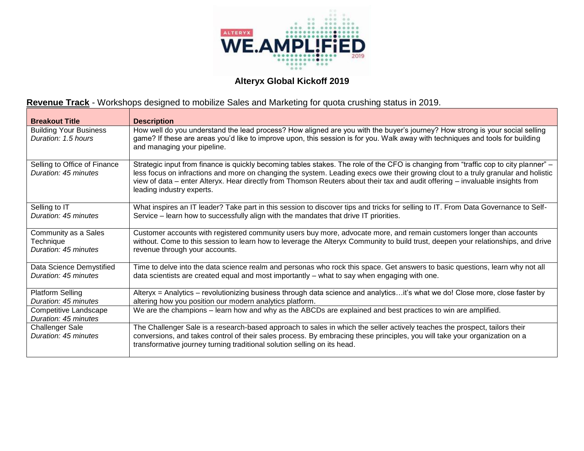

# **Revenue Track** - Workshops designed to mobilize Sales and Marketing for quota crushing status in 2019.

| <b>Breakout Title</b>                                     | <b>Description</b>                                                                                                                                                                                                                                                                                                                                                                                                                       |
|-----------------------------------------------------------|------------------------------------------------------------------------------------------------------------------------------------------------------------------------------------------------------------------------------------------------------------------------------------------------------------------------------------------------------------------------------------------------------------------------------------------|
| <b>Building Your Business</b><br>Duration: 1.5 hours      | How well do you understand the lead process? How aligned are you with the buyer's journey? How strong is your social selling<br>game? If these are areas you'd like to improve upon, this session is for you. Walk away with techniques and tools for building<br>and managing your pipeline.                                                                                                                                            |
| Selling to Office of Finance<br>Duration: 45 minutes      | Strategic input from finance is quickly becoming tables stakes. The role of the CFO is changing from "traffic cop to city planner" –<br>less focus on infractions and more on changing the system. Leading execs owe their growing clout to a truly granular and holistic<br>view of data – enter Alteryx. Hear directly from Thomson Reuters about their tax and audit offering – invaluable insights from<br>leading industry experts. |
| Selling to IT<br>Duration: 45 minutes                     | What inspires an IT leader? Take part in this session to discover tips and tricks for selling to IT. From Data Governance to Self-<br>Service – learn how to successfully align with the mandates that drive IT priorities.                                                                                                                                                                                                              |
| Community as a Sales<br>Technique<br>Duration: 45 minutes | Customer accounts with registered community users buy more, advocate more, and remain customers longer than accounts<br>without. Come to this session to learn how to leverage the Alteryx Community to build trust, deepen your relationships, and drive<br>revenue through your accounts.                                                                                                                                              |
| Data Science Demystified<br>Duration: 45 minutes          | Time to delve into the data science realm and personas who rock this space. Get answers to basic questions, learn why not all<br>data scientists are created equal and most importantly - what to say when engaging with one.                                                                                                                                                                                                            |
| Platform Selling<br>Duration: 45 minutes                  | Alteryx = Analytics - revolutionizing business through data science and analyticsit's what we do! Close more, close faster by<br>altering how you position our modern analytics platform.                                                                                                                                                                                                                                                |
| Competitive Landscape<br>Duration: 45 minutes             | We are the champions – learn how and why as the ABCDs are explained and best practices to win are amplified.                                                                                                                                                                                                                                                                                                                             |
| <b>Challenger Sale</b><br>Duration: 45 minutes            | The Challenger Sale is a research-based approach to sales in which the seller actively teaches the prospect, tailors their<br>conversions, and takes control of their sales process. By embracing these principles, you will take your organization on a<br>transformative journey turning traditional solution selling on its head.                                                                                                     |